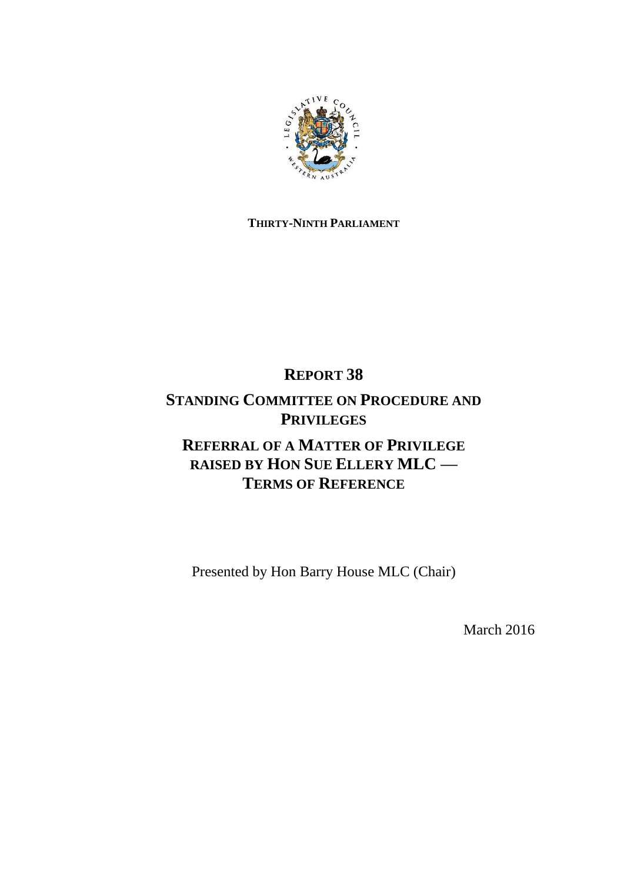

## **THIRTY-NINTH PARLIAMENT**

# **REPORT 38**

## **STANDING COMMITTEE ON PROCEDURE AND PRIVILEGES**

# **REFERRAL OF A MATTER OF PRIVILEGE RAISED BY HON SUE ELLERY MLC — TERMS OF REFERENCE**

Presented by Hon Barry House MLC (Chair)

March 2016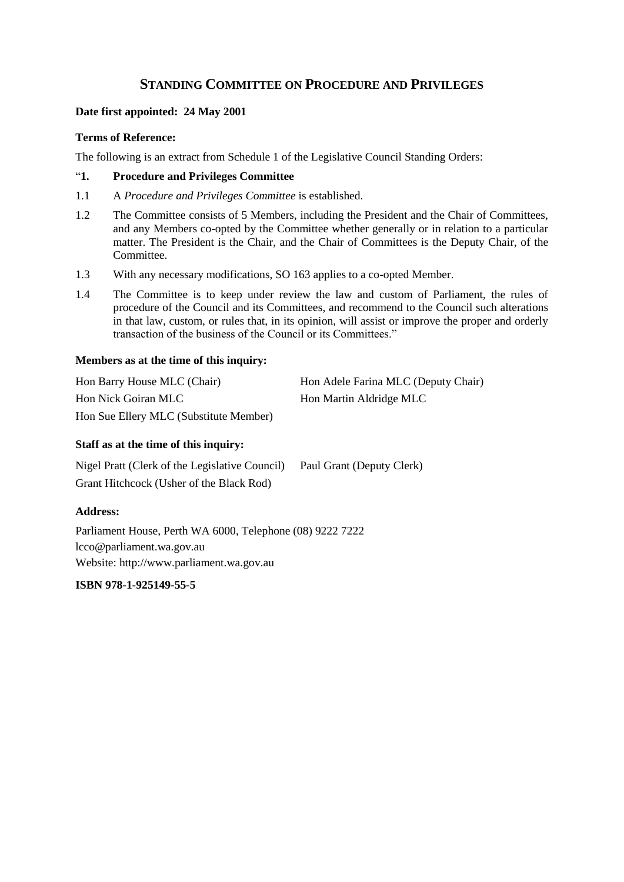### **STANDING COMMITTEE ON PROCEDURE AND PRIVILEGES**

#### **Date first appointed: 24 May 2001**

#### **Terms of Reference:**

The following is an extract from Schedule 1 of the Legislative Council Standing Orders:

#### "**1. Procedure and Privileges Committee**

- 1.1 A *Procedure and Privileges Committee* is established.
- 1.2 The Committee consists of 5 Members, including the President and the Chair of Committees, and any Members co-opted by the Committee whether generally or in relation to a particular matter. The President is the Chair, and the Chair of Committees is the Deputy Chair, of the Committee.
- 1.3 With any necessary modifications, SO 163 applies to a co-opted Member.
- 1.4 The Committee is to keep under review the law and custom of Parliament, the rules of procedure of the Council and its Committees, and recommend to the Council such alterations in that law, custom, or rules that, in its opinion, will assist or improve the proper and orderly transaction of the business of the Council or its Committees."

#### **Members as at the time of this inquiry:**

| Hon Barry House MLC (Chair)            | Hon Adele Farina MLC (Deputy Chair) |
|----------------------------------------|-------------------------------------|
| Hon Nick Goiran MLC                    | Hon Martin Aldridge MLC             |
| Hon Sue Ellery MLC (Substitute Member) |                                     |

#### **Staff as at the time of this inquiry:**

Nigel Pratt (Clerk of the Legislative Council) Paul Grant (Deputy Clerk) Grant Hitchcock (Usher of the Black Rod)

### **Address:**

Parliament House, Perth WA 6000, Telephone (08) 9222 7222 lcco@parliament.wa.gov.au Website: http://www.parliament.wa.gov.au

### **ISBN 978-1-925149-55-5**